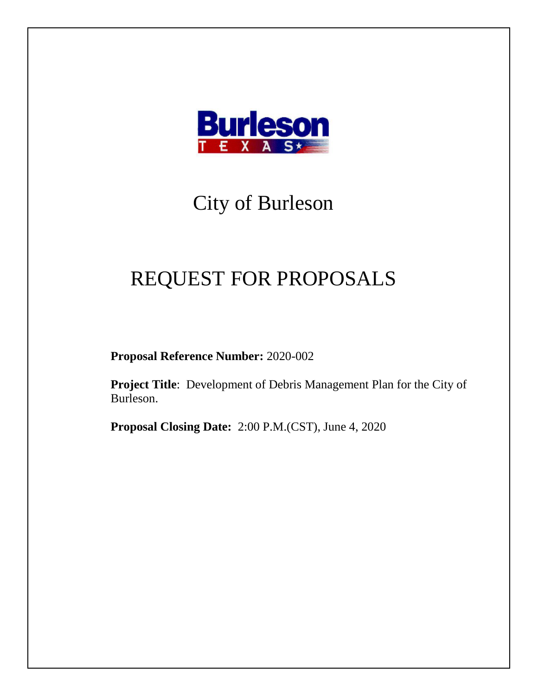

# City of Burleson

# REQUEST FOR PROPOSALS

**Proposal Reference Number:** 2020-002

**Project Title**: Development of Debris Management Plan for the City of Burleson.

**Proposal Closing Date:** 2:00 P.M.(CST), June 4, 2020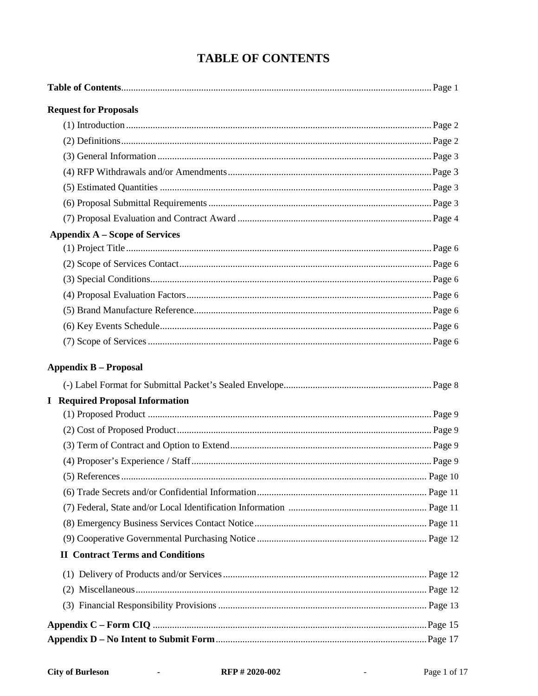| <b>Request for Proposals</b>            |  |
|-----------------------------------------|--|
|                                         |  |
|                                         |  |
|                                         |  |
|                                         |  |
|                                         |  |
|                                         |  |
|                                         |  |
| <b>Appendix A – Scope of Services</b>   |  |
|                                         |  |
|                                         |  |
|                                         |  |
|                                         |  |
|                                         |  |
|                                         |  |
|                                         |  |
| <b>Appendix B - Proposal</b>            |  |
|                                         |  |
| <b>I</b> Required Proposal Information  |  |
|                                         |  |
|                                         |  |
|                                         |  |
|                                         |  |
|                                         |  |
|                                         |  |
|                                         |  |
|                                         |  |
|                                         |  |
| <b>II</b> Contract Terms and Conditions |  |
|                                         |  |
|                                         |  |
|                                         |  |
|                                         |  |
|                                         |  |

 $\sim 10^{-10}$   $\mu$ 

 $\bar{\phantom{a}}$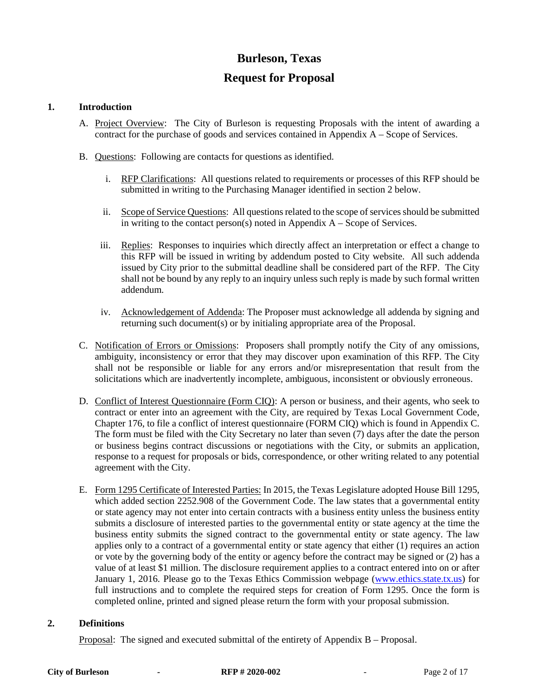## **Burleson, Texas**

### **Request for Proposal**

#### **1. Introduction**

- A. Project Overview: The City of Burleson is requesting Proposals with the intent of awarding a contract for the purchase of goods and services contained in Appendix A – Scope of Services.
- B. Questions: Following are contacts for questions as identified.
	- i. RFP Clarifications: All questions related to requirements or processes of this RFP should be submitted in writing to the Purchasing Manager identified in section 2 below.
	- ii. Scope of Service Questions: All questions related to the scope of services should be submitted in writing to the contact person(s) noted in Appendix  $A -$ Scope of Services.
	- iii. Replies: Responses to inquiries which directly affect an interpretation or effect a change to this RFP will be issued in writing by addendum posted to City website. All such addenda issued by City prior to the submittal deadline shall be considered part of the RFP. The City shall not be bound by any reply to an inquiry unless such reply is made by such formal written addendum.
	- iv. Acknowledgement of Addenda: The Proposer must acknowledge all addenda by signing and returning such document(s) or by initialing appropriate area of the Proposal.
- C. Notification of Errors or Omissions: Proposers shall promptly notify the City of any omissions, ambiguity, inconsistency or error that they may discover upon examination of this RFP. The City shall not be responsible or liable for any errors and/or misrepresentation that result from the solicitations which are inadvertently incomplete, ambiguous, inconsistent or obviously erroneous.
- D. Conflict of Interest Questionnaire (Form CIQ): A person or business, and their agents, who seek to contract or enter into an agreement with the City, are required by Texas Local Government Code, Chapter 176, to file a conflict of interest questionnaire (FORM CIQ) which is found in Appendix C. The form must be filed with the City Secretary no later than seven (7) days after the date the person or business begins contract discussions or negotiations with the City, or submits an application, response to a request for proposals or bids, correspondence, or other writing related to any potential agreement with the City.
- E. Form 1295 Certificate of Interested Parties: In 2015, the Texas Legislature adopted House Bill 1295, which added section 2252.908 of the Government Code. The law states that a governmental entity or state agency may not enter into certain contracts with a business entity unless the business entity submits a disclosure of interested parties to the governmental entity or state agency at the time the business entity submits the signed contract to the governmental entity or state agency. The law applies only to a contract of a governmental entity or state agency that either (1) requires an action or vote by the governing body of the entity or agency before the contract may be signed or (2) has a value of at least \$1 million. The disclosure requirement applies to a contract entered into on or after January 1, 2016. Please go to the Texas Ethics Commission webpage [\(www.ethics.state.tx.us\)](http://www.ethics.state.tx.us/) for full instructions and to complete the required steps for creation of Form 1295. Once the form is completed online, printed and signed please return the form with your proposal submission.

#### **2. Definitions**

Proposal: The signed and executed submittal of the entirety of Appendix B – Proposal.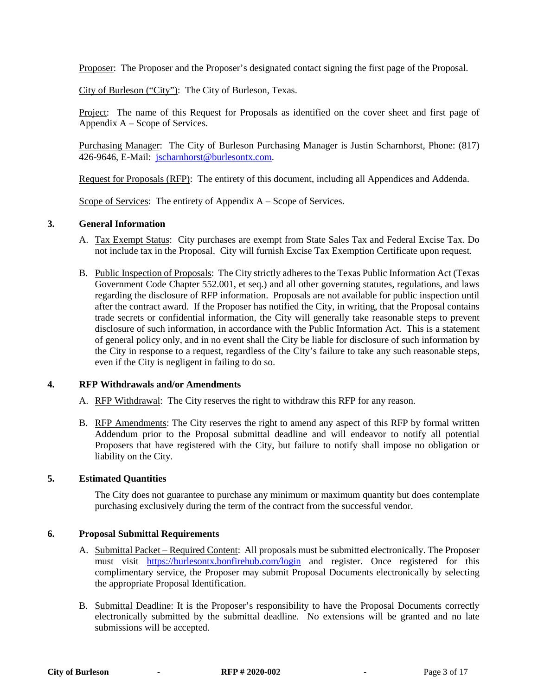Proposer: The Proposer and the Proposer's designated contact signing the first page of the Proposal.

City of Burleson ("City"): The City of Burleson, Texas.

Project: The name of this Request for Proposals as identified on the cover sheet and first page of Appendix A – Scope of Services.

Purchasing Manager: The City of Burleson Purchasing Manager is Justin Scharnhorst, Phone: (817) 426-9646, E-Mail: [jscharnhorst@burlesontx.com.](mailto:jscharnhorst@burlesontx.com)

Request for Proposals (RFP): The entirety of this document, including all Appendices and Addenda.

Scope of Services: The entirety of Appendix A – Scope of Services.

#### **3. General Information**

- A. Tax Exempt Status: City purchases are exempt from State Sales Tax and Federal Excise Tax. Do not include tax in the Proposal. City will furnish Excise Tax Exemption Certificate upon request.
- B. Public Inspection of Proposals: The City strictly adheres to the Texas Public Information Act (Texas Government Code Chapter 552.001, et seq.) and all other governing statutes, regulations, and laws regarding the disclosure of RFP information. Proposals are not available for public inspection until after the contract award. If the Proposer has notified the City, in writing, that the Proposal contains trade secrets or confidential information, the City will generally take reasonable steps to prevent disclosure of such information, in accordance with the Public Information Act. This is a statement of general policy only, and in no event shall the City be liable for disclosure of such information by the City in response to a request, regardless of the City's failure to take any such reasonable steps, even if the City is negligent in failing to do so.

#### **4. RFP Withdrawals and/or Amendments**

- A. RFP Withdrawal: The City reserves the right to withdraw this RFP for any reason.
- B. RFP Amendments: The City reserves the right to amend any aspect of this RFP by formal written Addendum prior to the Proposal submittal deadline and will endeavor to notify all potential Proposers that have registered with the City, but failure to notify shall impose no obligation or liability on the City.

#### **5. Estimated Quantities**

The City does not guarantee to purchase any minimum or maximum quantity but does contemplate purchasing exclusively during the term of the contract from the successful vendor.

#### **6. Proposal Submittal Requirements**

- A. Submittal Packet Required Content: All proposals must be submitted electronically. The Proposer must visit <https://burlesontx.bonfirehub.com/login> and register. Once registered for this complimentary service, the Proposer may submit Proposal Documents electronically by selecting the appropriate Proposal Identification.
- B. Submittal Deadline: It is the Proposer's responsibility to have the Proposal Documents correctly electronically submitted by the submittal deadline. No extensions will be granted and no late submissions will be accepted.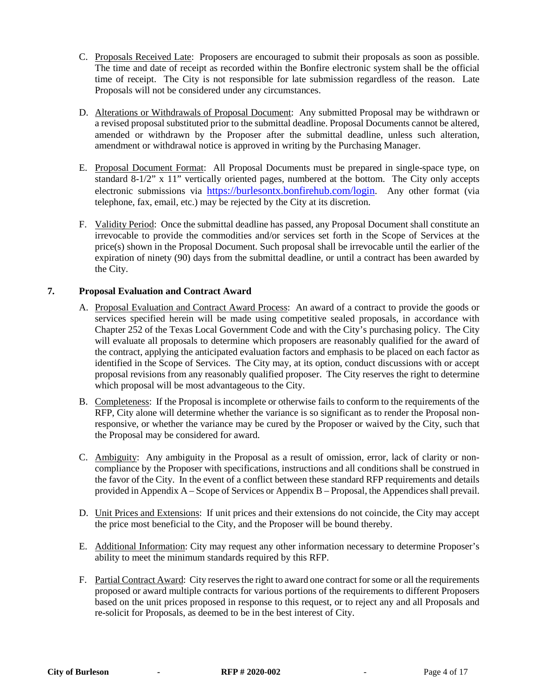- C. Proposals Received Late: Proposers are encouraged to submit their proposals as soon as possible. The time and date of receipt as recorded within the Bonfire electronic system shall be the official time of receipt. The City is not responsible for late submission regardless of the reason. Late Proposals will not be considered under any circumstances.
- D. Alterations or Withdrawals of Proposal Document: Any submitted Proposal may be withdrawn or a revised proposal substituted prior to the submittal deadline. Proposal Documents cannot be altered, amended or withdrawn by the Proposer after the submittal deadline, unless such alteration, amendment or withdrawal notice is approved in writing by the Purchasing Manager.
- E. Proposal Document Format: All Proposal Documents must be prepared in single-space type, on standard  $8-1/2$ " x 11" vertically oriented pages, numbered at the bottom. The City only accepts electronic submissions via [https://burlesontx.bonfirehub.com/login.](https://burlesontx.bonfirehub.com/login) Any other format (via telephone, fax, email, etc.) may be rejected by the City at its discretion.
- F. Validity Period: Once the submittal deadline has passed, any Proposal Document shall constitute an irrevocable to provide the commodities and/or services set forth in the Scope of Services at the price(s) shown in the Proposal Document. Such proposal shall be irrevocable until the earlier of the expiration of ninety (90) days from the submittal deadline, or until a contract has been awarded by the City.

#### **7. Proposal Evaluation and Contract Award**

- A. Proposal Evaluation and Contract Award Process: An award of a contract to provide the goods or services specified herein will be made using competitive sealed proposals, in accordance with Chapter 252 of the Texas Local Government Code and with the City's purchasing policy. The City will evaluate all proposals to determine which proposers are reasonably qualified for the award of the contract, applying the anticipated evaluation factors and emphasis to be placed on each factor as identified in the Scope of Services. The City may, at its option, conduct discussions with or accept proposal revisions from any reasonably qualified proposer. The City reserves the right to determine which proposal will be most advantageous to the City.
- B. Completeness: If the Proposal is incomplete or otherwise fails to conform to the requirements of the RFP, City alone will determine whether the variance is so significant as to render the Proposal nonresponsive, or whether the variance may be cured by the Proposer or waived by the City, such that the Proposal may be considered for award.
- C. Ambiguity: Any ambiguity in the Proposal as a result of omission, error, lack of clarity or noncompliance by the Proposer with specifications, instructions and all conditions shall be construed in the favor of the City. In the event of a conflict between these standard RFP requirements and details provided in Appendix A – Scope of Services or Appendix B – Proposal, the Appendices shall prevail.
- D. Unit Prices and Extensions: If unit prices and their extensions do not coincide, the City may accept the price most beneficial to the City, and the Proposer will be bound thereby.
- E. Additional Information: City may request any other information necessary to determine Proposer's ability to meet the minimum standards required by this RFP.
- F. Partial Contract Award: City reserves the right to award one contract for some or all the requirements proposed or award multiple contracts for various portions of the requirements to different Proposers based on the unit prices proposed in response to this request, or to reject any and all Proposals and re-solicit for Proposals, as deemed to be in the best interest of City.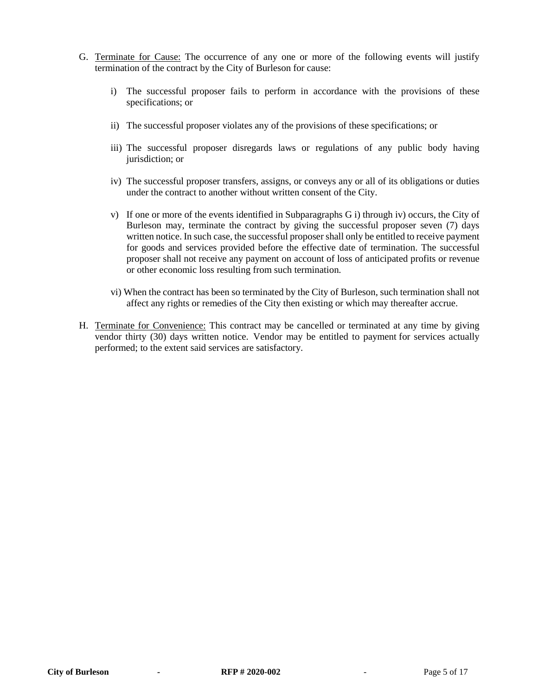- G. Terminate for Cause: The occurrence of any one or more of the following events will justify termination of the contract by the City of Burleson for cause:
	- i) The successful proposer fails to perform in accordance with the provisions of these specifications; or
	- ii) The successful proposer violates any of the provisions of these specifications; or
	- iii) The successful proposer disregards laws or regulations of any public body having jurisdiction; or
	- iv) The successful proposer transfers, assigns, or conveys any or all of its obligations or duties under the contract to another without written consent of the City.
	- v) If one or more of the events identified in Subparagraphs G i) through iv) occurs, the City of Burleson may, terminate the contract by giving the successful proposer seven (7) days written notice. In such case, the successful proposer shall only be entitled to receive payment for goods and services provided before the effective date of termination. The successful proposer shall not receive any payment on account of loss of anticipated profits or revenue or other economic loss resulting from such termination.
	- vi) When the contract has been so terminated by the City of Burleson, such termination shall not affect any rights or remedies of the City then existing or which may thereafter accrue.
- H. Terminate for Convenience: This contract may be cancelled or terminated at any time by giving vendor thirty (30) days written notice. Vendor may be entitled to payment for services actually performed; to the extent said services are satisfactory.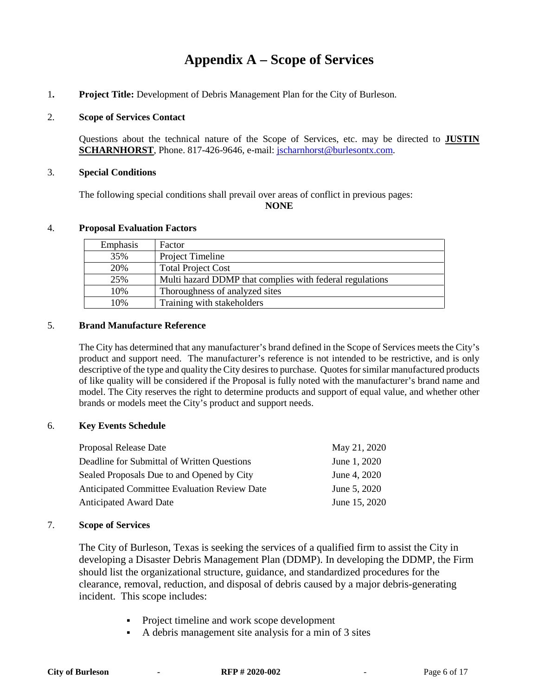## **Appendix A – Scope of Services**

1**. Project Title:** Development of Debris Management Plan for the City of Burleson.

#### 2. **Scope of Services Contact**

Questions about the technical nature of the Scope of Services, etc. may be directed to **JUSTIN SCHARNHORST**, Phone. 817-426-9646, e-mail: *jscharnhorst@burlesontx.com.* 

#### 3. **Special Conditions**

The following special conditions shall prevail over areas of conflict in previous pages: **NONE**

#### 4. **Proposal Evaluation Factors**

| Emphasis | Factor                                                   |
|----------|----------------------------------------------------------|
| 35%      | Project Timeline                                         |
| 20%      | <b>Total Project Cost</b>                                |
| 25%      | Multi hazard DDMP that complies with federal regulations |
| 10%      | Thoroughness of analyzed sites                           |
| 10%      | Training with stakeholders                               |

#### 5. **Brand Manufacture Reference**

The City has determined that any manufacturer's brand defined in the Scope of Services meets the City's product and support need. The manufacturer's reference is not intended to be restrictive, and is only descriptive of the type and quality the City desires to purchase. Quotes for similar manufactured products of like quality will be considered if the Proposal is fully noted with the manufacturer's brand name and model. The City reserves the right to determine products and support of equal value, and whether other brands or models meet the City's product and support needs.

#### 6. **Key Events Schedule**

| Proposal Release Date                        | May 21, 2020  |
|----------------------------------------------|---------------|
| Deadline for Submittal of Written Questions  | June 1, 2020  |
| Sealed Proposals Due to and Opened by City   | June 4, 2020  |
| Anticipated Committee Evaluation Review Date | June 5, 2020  |
| <b>Anticipated Award Date</b>                | June 15, 2020 |

#### 7. **Scope of Services**

The City of Burleson, Texas is seeking the services of a qualified firm to assist the City in developing a Disaster Debris Management Plan (DDMP). In developing the DDMP, the Firm should list the organizational structure, guidance, and standardized procedures for the clearance, removal, reduction, and disposal of debris caused by a major debris-generating incident. This scope includes:

- Project timeline and work scope development
- A debris management site analysis for a min of 3 sites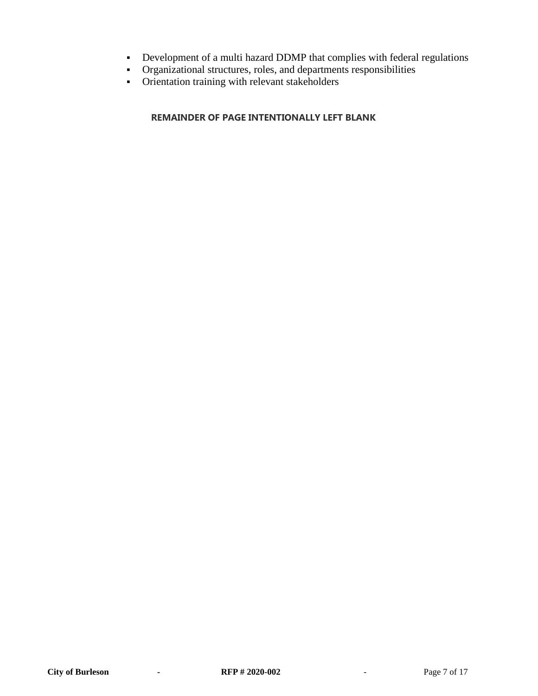- Development of a multi hazard DDMP that complies with federal regulations
- Organizational structures, roles, and departments responsibilities
- Orientation training with relevant stakeholders

### **[REMAINDER OF](https://www.lawinsider.com/clause/remainder-of-page-intentionally-left-blank) PAGE INTENTIONALLY LEFT BLANK**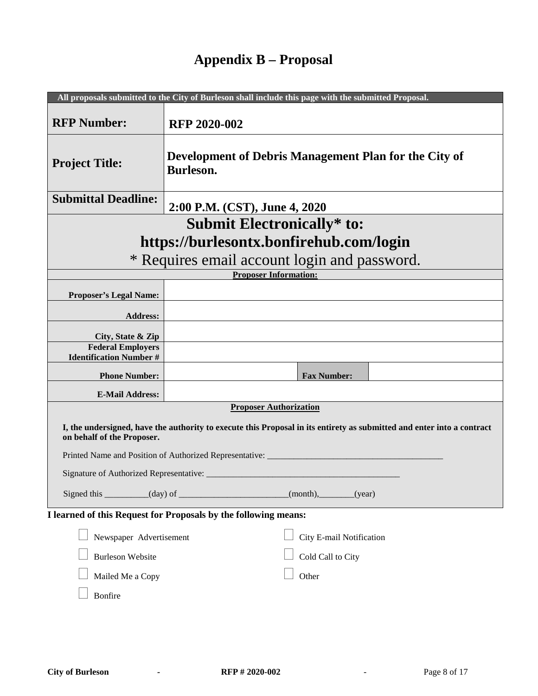## **Appendix B – Proposal**

|                                                                                                                                                      | All proposals submitted to the City of Burleson shall include this page with the submitted Proposal. |  |
|------------------------------------------------------------------------------------------------------------------------------------------------------|------------------------------------------------------------------------------------------------------|--|
| <b>RFP Number:</b>                                                                                                                                   | <b>RFP 2020-002</b>                                                                                  |  |
| <b>Project Title:</b>                                                                                                                                | Development of Debris Management Plan for the City of<br>Burleson.                                   |  |
| <b>Submittal Deadline:</b>                                                                                                                           | 2:00 P.M. (CST), June 4, 2020                                                                        |  |
| <b>Submit Electronically* to:</b>                                                                                                                    |                                                                                                      |  |
| https://burlesontx.bonfirehub.com/login                                                                                                              |                                                                                                      |  |
|                                                                                                                                                      | * Requires email account login and password.                                                         |  |
|                                                                                                                                                      | <b>Proposer Information:</b>                                                                         |  |
| <b>Proposer's Legal Name:</b>                                                                                                                        |                                                                                                      |  |
| <b>Address:</b>                                                                                                                                      |                                                                                                      |  |
| City, State & Zip                                                                                                                                    |                                                                                                      |  |
| <b>Federal Employers</b>                                                                                                                             |                                                                                                      |  |
| <b>Identification Number #</b>                                                                                                                       |                                                                                                      |  |
| <b>Phone Number:</b>                                                                                                                                 | <b>Fax Number:</b>                                                                                   |  |
| <b>E-Mail Address:</b>                                                                                                                               |                                                                                                      |  |
|                                                                                                                                                      | <b>Proposer Authorization</b>                                                                        |  |
| I, the undersigned, have the authority to execute this Proposal in its entirety as submitted and enter into a contract<br>on behalf of the Proposer. |                                                                                                      |  |
| Printed Name and Position of Authorized Representative: ______                                                                                       |                                                                                                      |  |
| Signature of Authorized Representative: _                                                                                                            |                                                                                                      |  |
| $(month)$ , (year)                                                                                                                                   |                                                                                                      |  |
| I learned of this Request for Proposals by the following means:                                                                                      |                                                                                                      |  |
| Newspaper Advertisement                                                                                                                              | City E-mail Notification                                                                             |  |
| <b>Burleson Website</b>                                                                                                                              | Cold Call to City                                                                                    |  |
| Mailed Me a Copy                                                                                                                                     | Other                                                                                                |  |
| <b>Bonfire</b>                                                                                                                                       |                                                                                                      |  |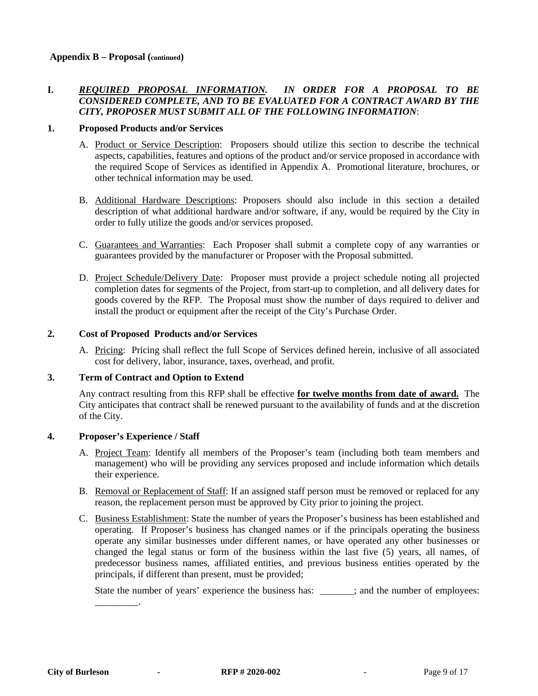#### **I.** *REQUIRED PROPOSAL INFORMATION. IN ORDER FOR A PROPOSAL TO BE CONSIDERED COMPLETE, AND TO BE EVALUATED FOR A CONTRACT AWARD BY THE CITY, PROPOSER MUST SUBMIT ALL OF THE FOLLOWING INFORMATION*:

#### **1. Proposed Products and/or Services**

- A. Product or Service Description: Proposers should utilize this section to describe the technical aspects, capabilities, features and options of the product and/or service proposed in accordance with the required Scope of Services as identified in Appendix A. Promotional literature, brochures, or other technical information may be used.
- B. Additional Hardware Descriptions: Proposers should also include in this section a detailed description of what additional hardware and/or software, if any, would be required by the City in order to fully utilize the goods and/or services proposed.
- C. Guarantees and Warranties: Each Proposer shall submit a complete copy of any warranties or guarantees provided by the manufacturer or Proposer with the Proposal submitted.
- D. Project Schedule/Delivery Date: Proposer must provide a project schedule noting all projected completion dates for segments of the Project, from start-up to completion, and all delivery dates for goods covered by the RFP. The Proposal must show the number of days required to deliver and install the product or equipment after the receipt of the City's Purchase Order.

#### **2. Cost of Proposed Products and/or Services**

A. Pricing: Pricing shall reflect the full Scope of Services defined herein, inclusive of all associated cost for delivery, labor, insurance, taxes, overhead, and profit.

#### **3. Term of Contract and Option to Extend**

Any contract resulting from this RFP shall be effective **for twelve months from date of award.** The City anticipates that contract shall be renewed pursuant to the availability of funds and at the discretion of the City.

#### **4. Proposer's Experience / Staff**

\_\_\_\_\_\_\_\_\_.

- A. Project Team: Identify all members of the Proposer's team (including both team members and management) who will be providing any services proposed and include information which details their experience.
- B. Removal or Replacement of Staff: If an assigned staff person must be removed or replaced for any reason, the replacement person must be approved by City prior to joining the project.
- C. Business Establishment: State the number of years the Proposer's business has been established and operating. If Proposer's business has changed names or if the principals operating the business operate any similar businesses under different names, or have operated any other businesses or changed the legal status or form of the business within the last five (5) years, all names, of predecessor business names, affiliated entities, and previous business entities operated by the principals, if different than present, must be provided;

State the number of years' experience the business has:  $\cdot$ , and the number of employees: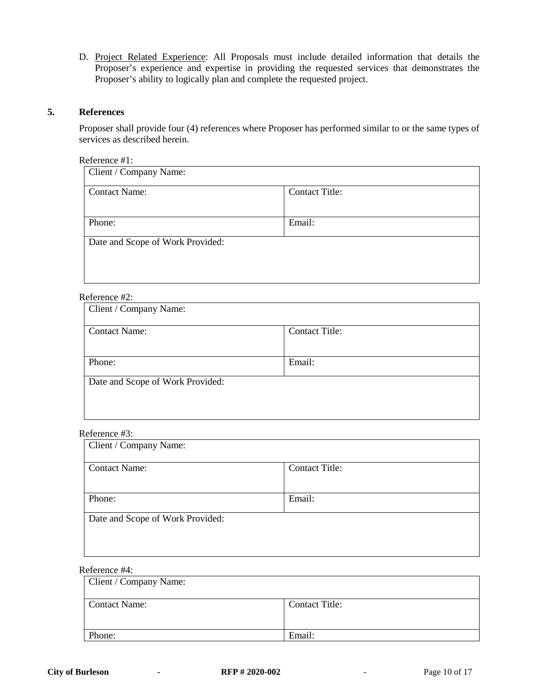D. Project Related Experience: All Proposals must include detailed information that details the Proposer's experience and expertise in providing the requested services that demonstrates the Proposer's ability to logically plan and complete the requested project.

#### **5. References**

Proposer shall provide four (4) references where Proposer has performed similar to or the same types of services as described herein.

Reference #1:

| Client / Company Name:           |                       |  |
|----------------------------------|-----------------------|--|
| <b>Contact Name:</b>             | <b>Contact Title:</b> |  |
|                                  |                       |  |
| Phone:                           | Email:                |  |
| Date and Scope of Work Provided: |                       |  |
|                                  |                       |  |
|                                  |                       |  |

#### Reference #2:

| Client / Company Name:           |                       |  |
|----------------------------------|-----------------------|--|
| <b>Contact Name:</b>             | <b>Contact Title:</b> |  |
|                                  |                       |  |
| Phone:                           | Email:                |  |
| Date and Scope of Work Provided: |                       |  |
|                                  |                       |  |
|                                  |                       |  |

#### Reference #3:

| Client / Company Name:           |                       |  |
|----------------------------------|-----------------------|--|
| <b>Contact Name:</b>             | <b>Contact Title:</b> |  |
|                                  |                       |  |
| Phone:                           | Email:                |  |
| Date and Scope of Work Provided: |                       |  |
|                                  |                       |  |
|                                  |                       |  |

#### Reference #4:

| Client / Company Name: |                       |
|------------------------|-----------------------|
| <b>Contact Name:</b>   | <b>Contact Title:</b> |
| Phone:                 | Email:                |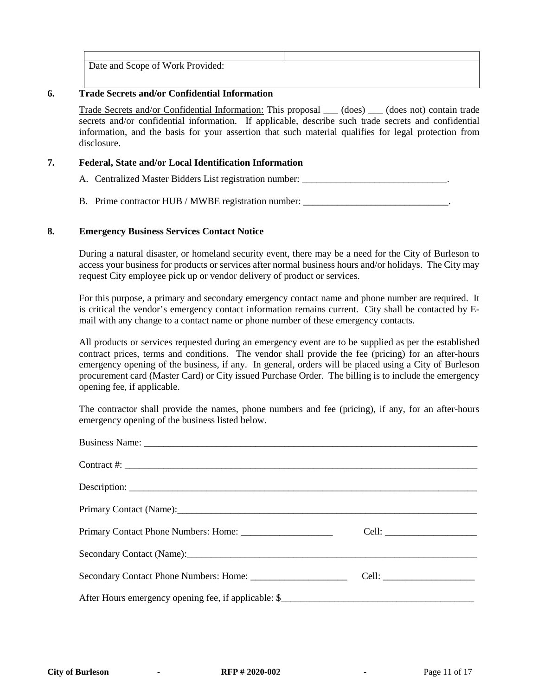Date and Scope of Work Provided:

#### **6. Trade Secrets and/or Confidential Information**

Trade Secrets and/or Confidential Information: This proposal \_\_\_ (does) \_\_\_ (does not) contain trade secrets and/or confidential information. If applicable, describe such trade secrets and confidential information, and the basis for your assertion that such material qualifies for legal protection from disclosure.

#### **7. Federal, State and/or Local Identification Information**

A. Centralized Master Bidders List registration number: \_\_\_\_\_\_\_\_\_\_\_\_\_\_\_\_\_\_\_\_\_\_\_\_\_

B. Prime contractor HUB / MWBE registration number: \_\_\_\_\_\_\_\_\_\_\_\_\_\_\_\_\_\_\_\_\_\_\_\_\_\_\_\_

#### **8. Emergency Business Services Contact Notice**

During a natural disaster, or homeland security event, there may be a need for the City of Burleson to access your business for products or services after normal business hours and/or holidays. The City may request City employee pick up or vendor delivery of product or services.

For this purpose, a primary and secondary emergency contact name and phone number are required. It is critical the vendor's emergency contact information remains current. City shall be contacted by Email with any change to a contact name or phone number of these emergency contacts.

All products or services requested during an emergency event are to be supplied as per the established contract prices, terms and conditions. The vendor shall provide the fee (pricing) for an after-hours emergency opening of the business, if any. In general, orders will be placed using a City of Burleson procurement card (Master Card) or City issued Purchase Order. The billing is to include the emergency opening fee, if applicable.

The contractor shall provide the names, phone numbers and fee (pricing), if any, for an after-hours emergency opening of the business listed below.

| Contract #: $\qquad \qquad$                                                                                    |  |
|----------------------------------------------------------------------------------------------------------------|--|
|                                                                                                                |  |
|                                                                                                                |  |
|                                                                                                                |  |
| Secondary Contact (Name): 2008 and 2008 and 2008 and 2008 and 2008 and 2008 and 2008 and 2008 and 2008 and 200 |  |
|                                                                                                                |  |
|                                                                                                                |  |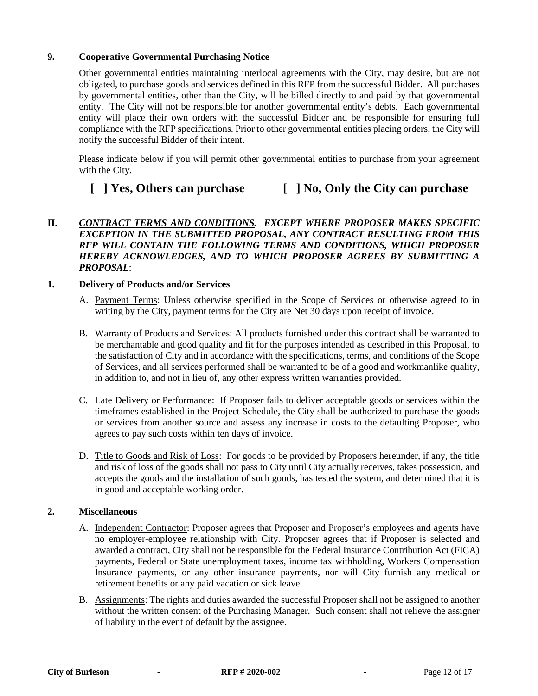#### **9. Cooperative Governmental Purchasing Notice**

Other governmental entities maintaining interlocal agreements with the City, may desire, but are not obligated, to purchase goods and services defined in this RFP from the successful Bidder. All purchases by governmental entities, other than the City, will be billed directly to and paid by that governmental entity. The City will not be responsible for another governmental entity's debts. Each governmental entity will place their own orders with the successful Bidder and be responsible for ensuring full compliance with the RFP specifications. Prior to other governmental entities placing orders, the City will notify the successful Bidder of their intent.

Please indicate below if you will permit other governmental entities to purchase from your agreement with the City.

## **[ ] Yes, Others can purchase [ ] No, Only the City can purchase**

#### **II.** *CONTRACT TERMS AND CONDITIONS. EXCEPT WHERE PROPOSER MAKES SPECIFIC EXCEPTION IN THE SUBMITTED PROPOSAL, ANY CONTRACT RESULTING FROM THIS RFP WILL CONTAIN THE FOLLOWING TERMS AND CONDITIONS, WHICH PROPOSER HEREBY ACKNOWLEDGES, AND TO WHICH PROPOSER AGREES BY SUBMITTING A PROPOSAL*:

#### **1. Delivery of Products and/or Services**

- A. Payment Terms: Unless otherwise specified in the Scope of Services or otherwise agreed to in writing by the City, payment terms for the City are Net 30 days upon receipt of invoice.
- B. Warranty of Products and Services: All products furnished under this contract shall be warranted to be merchantable and good quality and fit for the purposes intended as described in this Proposal, to the satisfaction of City and in accordance with the specifications, terms, and conditions of the Scope of Services, and all services performed shall be warranted to be of a good and workmanlike quality, in addition to, and not in lieu of, any other express written warranties provided.
- C. Late Delivery or Performance: If Proposer fails to deliver acceptable goods or services within the timeframes established in the Project Schedule, the City shall be authorized to purchase the goods or services from another source and assess any increase in costs to the defaulting Proposer, who agrees to pay such costs within ten days of invoice.
- D. Title to Goods and Risk of Loss: For goods to be provided by Proposers hereunder, if any, the title and risk of loss of the goods shall not pass to City until City actually receives, takes possession, and accepts the goods and the installation of such goods, has tested the system, and determined that it is in good and acceptable working order.

#### **2. Miscellaneous**

- A. Independent Contractor: Proposer agrees that Proposer and Proposer's employees and agents have no employer-employee relationship with City. Proposer agrees that if Proposer is selected and awarded a contract, City shall not be responsible for the Federal Insurance Contribution Act (FICA) payments, Federal or State unemployment taxes, income tax withholding, Workers Compensation Insurance payments, or any other insurance payments, nor will City furnish any medical or retirement benefits or any paid vacation or sick leave.
- B. Assignments: The rights and duties awarded the successful Proposer shall not be assigned to another without the written consent of the Purchasing Manager. Such consent shall not relieve the assigner of liability in the event of default by the assignee.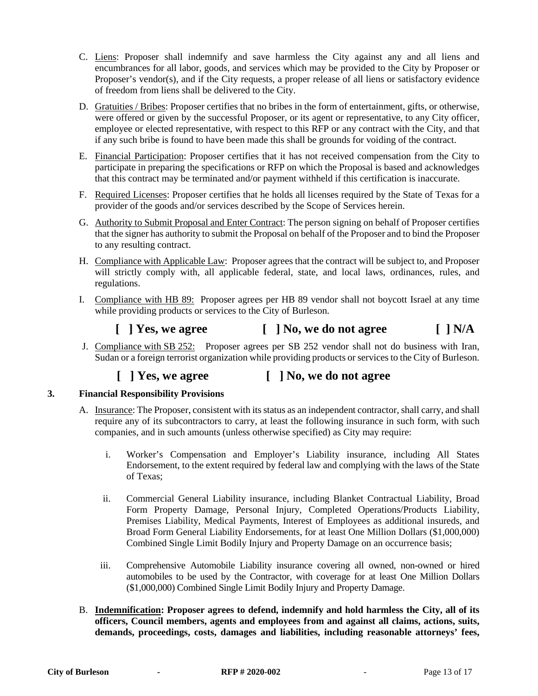- C. Liens: Proposer shall indemnify and save harmless the City against any and all liens and encumbrances for all labor, goods, and services which may be provided to the City by Proposer or Proposer's vendor(s), and if the City requests, a proper release of all liens or satisfactory evidence of freedom from liens shall be delivered to the City.
- D. Gratuities / Bribes: Proposer certifies that no bribes in the form of entertainment, gifts, or otherwise, were offered or given by the successful Proposer, or its agent or representative, to any City officer, employee or elected representative, with respect to this RFP or any contract with the City, and that if any such bribe is found to have been made this shall be grounds for voiding of the contract.
- E. Financial Participation: Proposer certifies that it has not received compensation from the City to participate in preparing the specifications or RFP on which the Proposal is based and acknowledges that this contract may be terminated and/or payment withheld if this certification is inaccurate.
- F. Required Licenses: Proposer certifies that he holds all licenses required by the State of Texas for a provider of the goods and/or services described by the Scope of Services herein.
- G. Authority to Submit Proposal and Enter Contract: The person signing on behalf of Proposer certifies that the signer has authority to submit the Proposal on behalf of the Proposer and to bind the Proposer to any resulting contract.
- H. Compliance with Applicable Law: Proposer agrees that the contract will be subject to, and Proposer will strictly comply with, all applicable federal, state, and local laws, ordinances, rules, and regulations.
- I. Compliance with HB 89: Proposer agrees per HB 89 vendor shall not boycott Israel at any time while providing products or services to the City of Burleson.

## $\begin{bmatrix} \n\end{bmatrix}$  Yes, we agree  $\begin{bmatrix} \n\end{bmatrix}$  No, we do not agree  $\begin{bmatrix} \n\end{bmatrix}$  N/A

J. Compliance with SB 252: Proposer agrees per SB 252 vendor shall not do business with Iran, Sudan or a foreign terrorist organization while providing products or services to the City of Burleson.

## **[ ] Yes, we agree [ ] No, we do not agree**

#### **3. Financial Responsibility Provisions**

- A. Insurance: The Proposer, consistent with its status as an independent contractor, shall carry, and shall require any of its subcontractors to carry, at least the following insurance in such form, with such companies, and in such amounts (unless otherwise specified) as City may require:
	- i. Worker's Compensation and Employer's Liability insurance, including All States Endorsement, to the extent required by federal law and complying with the laws of the State of Texas;
	- ii. Commercial General Liability insurance, including Blanket Contractual Liability, Broad Form Property Damage, Personal Injury, Completed Operations/Products Liability, Premises Liability, Medical Payments, Interest of Employees as additional insureds, and Broad Form General Liability Endorsements, for at least One Million Dollars (\$1,000,000) Combined Single Limit Bodily Injury and Property Damage on an occurrence basis;
	- iii. Comprehensive Automobile Liability insurance covering all owned, non-owned or hired automobiles to be used by the Contractor, with coverage for at least One Million Dollars (\$1,000,000) Combined Single Limit Bodily Injury and Property Damage.
- B. **Indemnification: Proposer agrees to defend, indemnify and hold harmless the City, all of its officers, Council members, agents and employees from and against all claims, actions, suits, demands, proceedings, costs, damages and liabilities, including reasonable attorneys' fees,**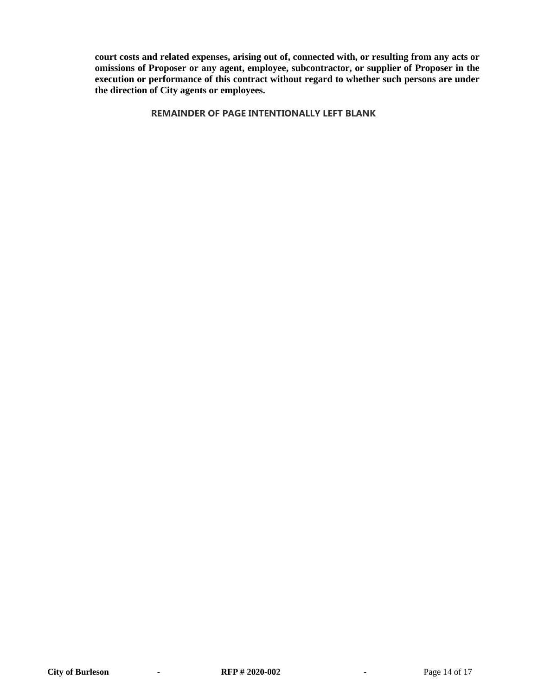**court costs and related expenses, arising out of, connected with, or resulting from any acts or omissions of Proposer or any agent, employee, subcontractor, or supplier of Proposer in the execution or performance of this contract without regard to whether such persons are under the direction of City agents or employees.**

**[REMAINDER OF](https://www.lawinsider.com/clause/remainder-of-page-intentionally-left-blank) PAGE INTENTIONALLY LEFT BLANK**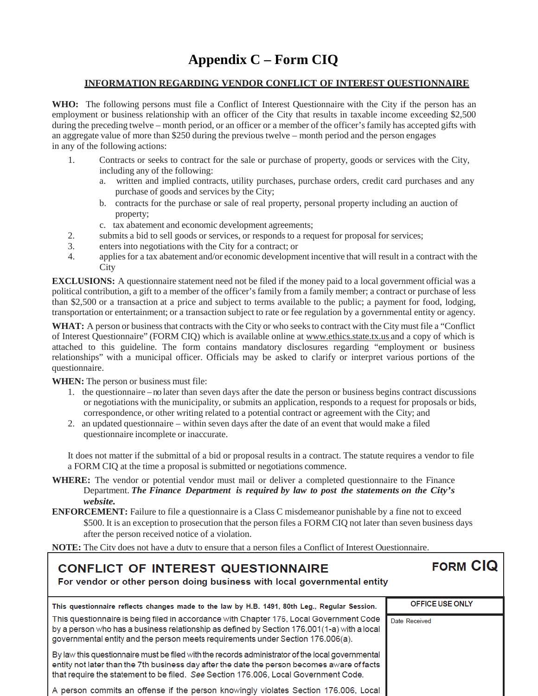## **Appendix C – Form CIQ**

#### **INFORMATION REGARDING VENDOR CONFLICT OF INTEREST QUESTIONNAIRE**

**WHO:** The following persons must file a Conflict of Interest Questionnaire with the City if the person has an employment or business relationship with an officer of the City that results in taxable income exceeding \$2,500 during the preceding twelve – month period, or an officer or a member of the officer's family has accepted gifts with an aggregate value of more than \$250 during the previous twelve – month period and the person engages in any of the following actions:

- 1. Contracts or seeks to contract for the sale or purchase of property, goods or services with the City, including any of the following:
	- a. written and implied contracts, utility purchases, purchase orders, credit card purchases and any purchase of goods and services by the City;
	- b. contracts for the purchase or sale of real property, personal property including an auction of property;
	- c. tax abatement and economic development agreements;
- 2. submits a bid to sell goods or services, or responds to a request for proposal for services;
- 3. enters into negotiations with the City for a contract; or
- 4. appliesfor a tax abatement and/or economic development incentive that will result in a contract with the **City**

**EXCLUSIONS:** A questionnaire statement need not be filed if the money paid to a local government official was a political contribution, a gift to a member of the officer's family from a family member; a contract or purchase of less than \$2,500 or a transaction at a price and subject to terms available to the public; a payment for food, lodging, transportation or entertainment; or a transaction subject to rate or fee regulation by a governmental entity or agency.

WHAT: A person or business that contracts with the City or who seeks to contract with the City must file a "Conflict" of Interest Questionnaire" (FORM CIQ) which is available online at [www.ethics.state.tx.us](http://www.ethics.state.tx.us/) and a copy of which is attached to this guideline. The form contains mandatory disclosures regarding "employment or business relationships" with a municipal officer. Officials may be asked to clarify or interpret various portions of the questionnaire.

**WHEN:** The person or business must file:

- 1. the questionnaire no later than seven days after the date the person or business begins contract discussions or negotiations with the municipality, or submits an application, responds to a request for proposals or bids, correspondence, or other writing related to a potential contract or agreement with the City; and
- 2. an updated questionnaire within seven days after the date of an event that would make a filed questionnaire incomplete or inaccurate.

It does not matter if the submittal of a bid or proposal results in a contract. The statute requires a vendor to file a FORM CIQ at the time a proposal is submitted or negotiations commence.

- **WHERE:** The vendor or potential vendor must mail or deliver a completed questionnaire to the Finance Department. *The Finance Department is required by law to post the statements on the City's website.*
- **ENFORCEMENT:** Failure to file a questionnaire is a Class C misdemeanor punishable by a fine not to exceed \$500. It is an exception to prosecution that the person files a FORM CIQ not later than seven business days after the person received notice of a violation.

**NOTE:** The City does not have a duty to ensure that a person files a Conflict of Interest Questionnaire.

## **CONFLICT OF INTEREST QUESTIONNAIRE**

## **FORM CIQ**

For vendor or other person doing business with local governmental entity

| This questionnaire reflects changes made to the law by H.B. 1491, 80th Leg., Regular Session.                                                                                                                                                                                          | <b>OFFICE USE ONLY</b> |
|----------------------------------------------------------------------------------------------------------------------------------------------------------------------------------------------------------------------------------------------------------------------------------------|------------------------|
| This questionnaire is being filed in accordance with Chapter 176, Local Government Code<br>by a person who has a business relationship as defined by Section 176.001(1-a) with a local<br>governmental entity and the person meets requirements under Section 176.006(a).              | Date Received          |
| By law this questionnaire must be filed with the records administrator of the local governmental<br>entity not later than the 7th business day after the date the person becomes aware of facts<br>that require the statement to be filed. See Section 176,006, Local Government Code. |                        |
| A person commits an offense if the person knowingly violates Section 176.006, Local                                                                                                                                                                                                    |                        |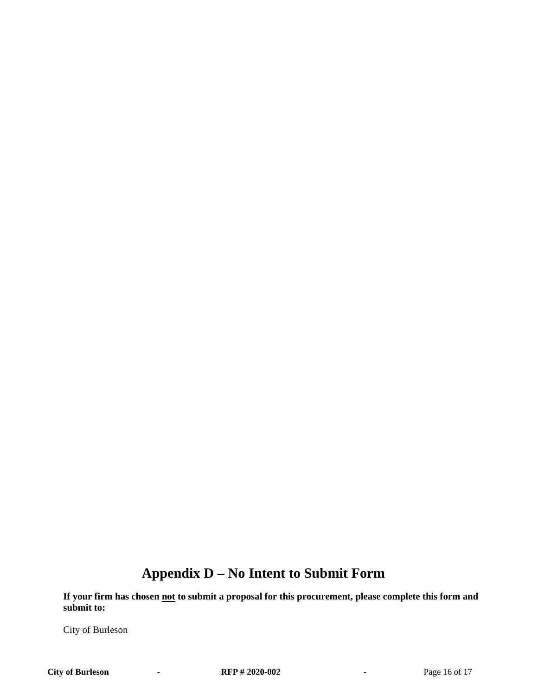## **Appendix D – No Intent to Submit Form**

**If your firm has chosen not to submit a proposal for this procurement, please complete this form and submit to:**

City of Burleson